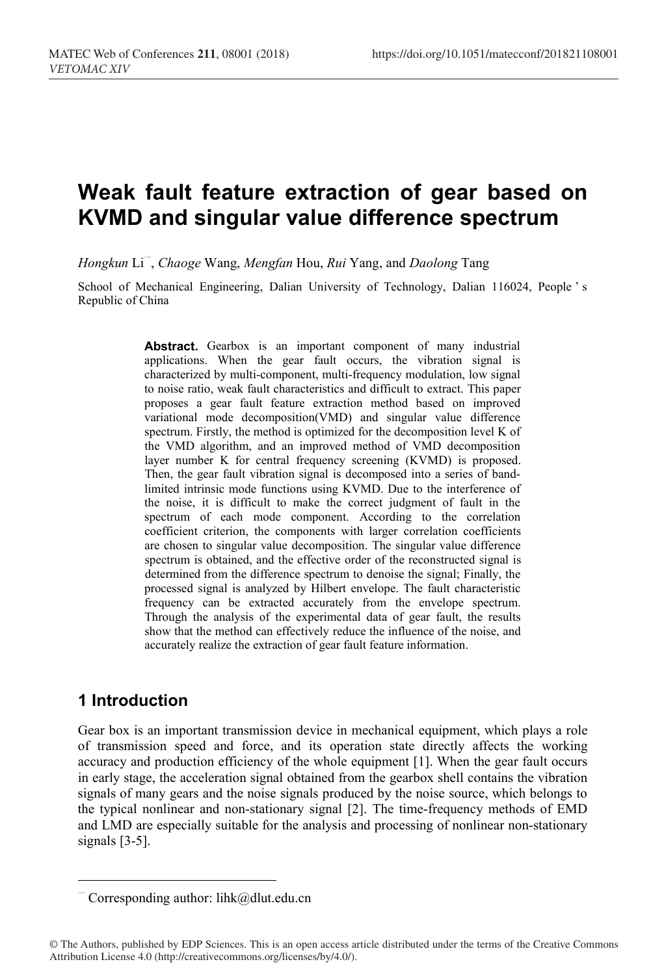# **Weak fault feature extraction of gear based on KVMD and singular value difference spectrum**

*Hongkun* Li <sup>一</sup>, *Chaoge* Wang, *Mengfan* Hou, *Rui* Yang, and *Daolong* Tang

School of Mechanical Engineering, Dalian University of Technology, Dalian 116024, People's Republic of China

> Abstract. Gearbox is an important component of many industrial applications. When the gear fault occurs, the vibration signal is characterized by multi-component, multi-frequency modulation, low signal to noise ratio, weak fault characteristics and difficult to extract. This paper proposes a gear fault feature extraction method based on improved variational mode decomposition(VMD) and singular value difference spectrum. Firstly, the method is optimized for the decomposition level K of the VMD algorithm, and an improved method of VMD decomposition layer number K for central frequency screening (KVMD) is proposed. Then, the gear fault vibration signal is decomposed into a series of bandlimited intrinsic mode functions using KVMD. Due to the interference of the noise, it is difficult to make the correct judgment of fault in the spectrum of each mode component. According to the correlation coefficient criterion, the components with larger correlation coefficients are chosen to singular value decomposition. The singular value difference spectrum is obtained, and the effective order of the reconstructed signal is determined from the difference spectrum to denoise the signal; Finally, the processed signal is analyzed by Hilbert envelope. The fault characteristic frequency can be extracted accurately from the envelope spectrum. Through the analysis of the experimental data of gear fault, the results show that the method can effectively reduce the influence of the noise, and accurately realize the extraction of gear fault feature information.

# **1 Introduction**

Gear box is an important transmission device in mechanical equipment, which plays a role of transmission speed and force, and its operation state directly affects the working accuracy and production efficiency of the whole equipment [1]. When the gear fault occurs in early stage, the acceleration signal obtained from the gearbox shell contains the vibration signals of many gears and the noise signals produced by the noise source, which belongs to the typical nonlinear and non-stationary signal [2]. The time-frequency methods of EMD and LMD are especially suitable for the analysis and processing of nonlinear non-stationary signals [3-5].

Corresponding author: lihk@dlut.edu.cn

<sup>©</sup> The Authors, published by EDP Sciences. This is an open access article distributed under the terms of the Creative Commons Attribution License 4.0 (http://creativecommons.org/licenses/by/4.0/).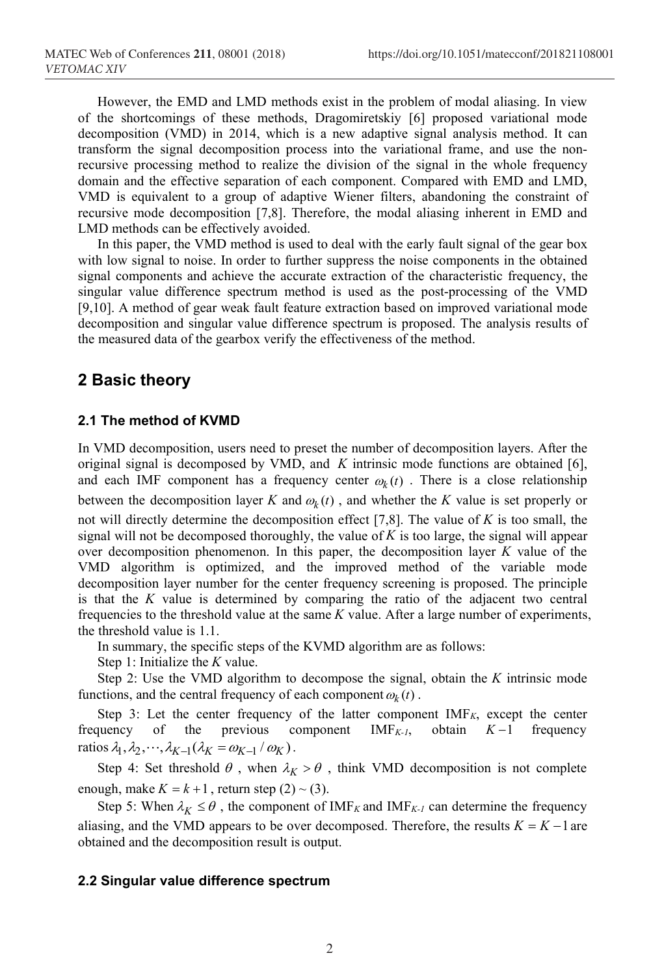However, the EMD and LMD methods exist in the problem of modal aliasing. In view of the shortcomings of these methods, Dragomiretskiy [6] proposed variational mode decomposition (VMD) in 2014, which is a new adaptive signal analysis method. It can transform the signal decomposition process into the variational frame, and use the nonrecursive processing method to realize the division of the signal in the whole frequency domain and the effective separation of each component. Compared with EMD and LMD, VMD is equivalent to a group of adaptive Wiener filters, abandoning the constraint of recursive mode decomposition [7,8]. Therefore, the modal aliasing inherent in EMD and LMD methods can be effectively avoided.

In this paper, the VMD method is used to deal with the early fault signal of the gear box with low signal to noise. In order to further suppress the noise components in the obtained signal components and achieve the accurate extraction of the characteristic frequency, the singular value difference spectrum method is used as the post-processing of the VMD [9,10]. A method of gear weak fault feature extraction based on improved variational mode decomposition and singular value difference spectrum is proposed. The analysis results of the measured data of the gearbox verify the effectiveness of the method.

## **2 Basic theory**

#### **2.1 The method of KVMD**

In VMD decomposition, users need to preset the number of decomposition layers. After the original signal is decomposed by VMD, and *K* intrinsic mode functions are obtained [6], and each IMF component has a frequency center  $\omega_k(t)$ . There is a close relationship between the decomposition layer *K* and  $\omega_k(t)$ , and whether the *K* value is set properly or not will directly determine the decomposition effect [7,8]. The value of *K* is too small, the signal will not be decomposed thoroughly, the value of *K* is too large, the signal will appear over decomposition phenomenon. In this paper, the decomposition layer *K* value of the VMD algorithm is optimized, and the improved method of the variable mode decomposition layer number for the center frequency screening is proposed. The principle is that the *K* value is determined by comparing the ratio of the adjacent two central frequencies to the threshold value at the same *K* value. After a large number of experiments, the threshold value is 1.1.

In summary, the specific steps of the KVMD algorithm are as follows:

Step 1: Initialize the *K* value.

Step 2: Use the VMD algorithm to decompose the signal, obtain the *K* intrinsic mode functions, and the central frequency of each component  $\omega_k(t)$ .

Step 3: Let the center frequency of the latter component  $IMF_K$ , except the center frequency of the previous component  $IMF_{K-1}$ , obtain  $K-1$  frequency ratios  $\lambda_1, \lambda_2, \dots, \lambda_{K-1} (\lambda_K = \omega_{K-1} / \omega_K)$ .

Step 4: Set threshold  $\theta$ , when  $\lambda_K > \theta$ , think VMD decomposition is not complete enough, make  $K = k + 1$ , return step  $(2) \sim (3)$ .

Step 5: When  $\lambda_K \le \theta$ , the component of IMF<sub>K</sub> and IMF<sub>K-1</sub> can determine the frequency aliasing, and the VMD appears to be over decomposed. Therefore, the results  $K = K - 1$  are obtained and the decomposition result is output.

#### **2.2 Singular value difference spectrum**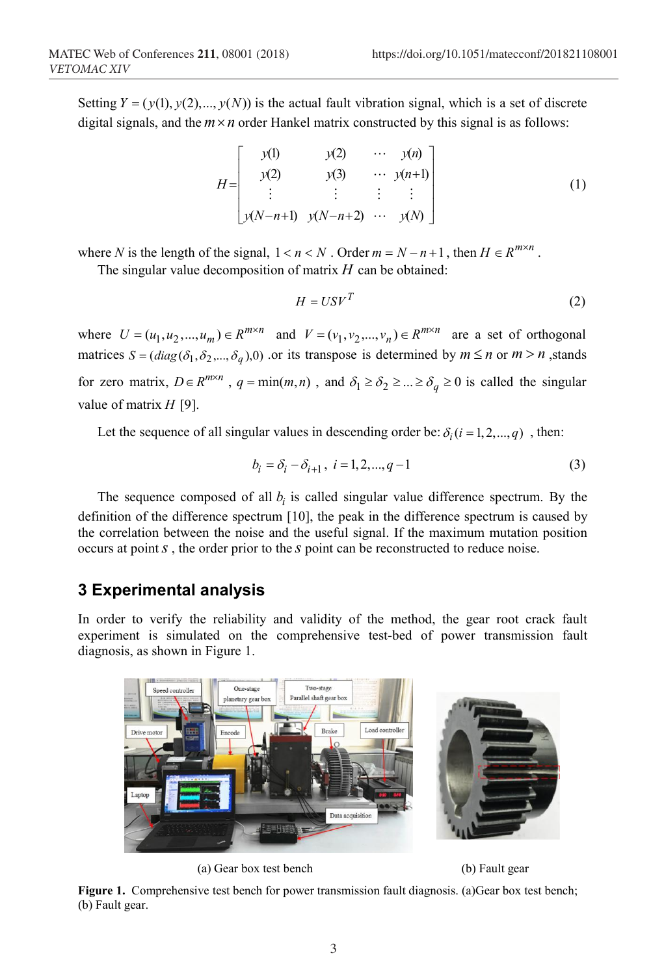Setting  $Y = (y(1), y(2),..., y(N))$  is the actual fault vibration signal, which is a set of discrete digital signals, and the  $m \times n$  order Hankel matrix constructed by this signal is as follows:

$$
H = \begin{bmatrix} y(1) & y(2) & \cdots & y(n) \\ y(2) & y(3) & \cdots & y(n+1) \\ \vdots & \vdots & \vdots & \vdots \\ y(N-n+1) & y(N-n+2) & \cdots & y(N) \end{bmatrix}
$$
 (1)

where *N* is the length of the signal,  $1 < n < N$ . Order  $m = N - n + 1$ , then  $H \in R^{m \times n}$ .

The singular value decomposition of matrix *H* can be obtained:

$$
H = USV^T \tag{2}
$$

where  $U = (u_1, u_2, ..., u_m) \in R^{m \times n}$  and  $V = (v_1, v_2, ..., v_n) \in R^{m \times n}$  are a set of orthogonal matrices  $S = (diag(\delta_1, \delta_2, ..., \delta_q), 0)$  or its transpose is determined by  $m \le n$  or  $m > n$ , stands for zero matrix,  $D \in R^{m \times n}$ ,  $q = \min(m, n)$ , and  $\delta_1 \ge \delta_2 \ge ... \ge \delta_q \ge 0$  is called the singular value of matrix *H* [9].

Let the sequence of all singular values in descending order be:  $\delta_i$  ( $i = 1, 2, ..., q$ ), then:

$$
b_i = \delta_i - \delta_{i+1}, \ i = 1, 2, \dots, q-1 \tag{3}
$$

The sequence composed of all  $b_i$  is called singular value difference spectrum. By the definition of the difference spectrum [10], the peak in the difference spectrum is caused by the correlation between the noise and the useful signal. If the maximum mutation position occurs at point*s* , the order prior to the *s* point can be reconstructed to reduce noise.

## **3 Experimental analysis**

In order to verify the reliability and validity of the method, the gear root crack fault experiment is simulated on the comprehensive test-bed of power transmission fault diagnosis, as shown in Figure 1.



(a) Gear box test bench (b) Fault gear

**Figure 1.** Comprehensive test bench for power transmission fault diagnosis. (a)Gear box test bench; (b) Fault gear.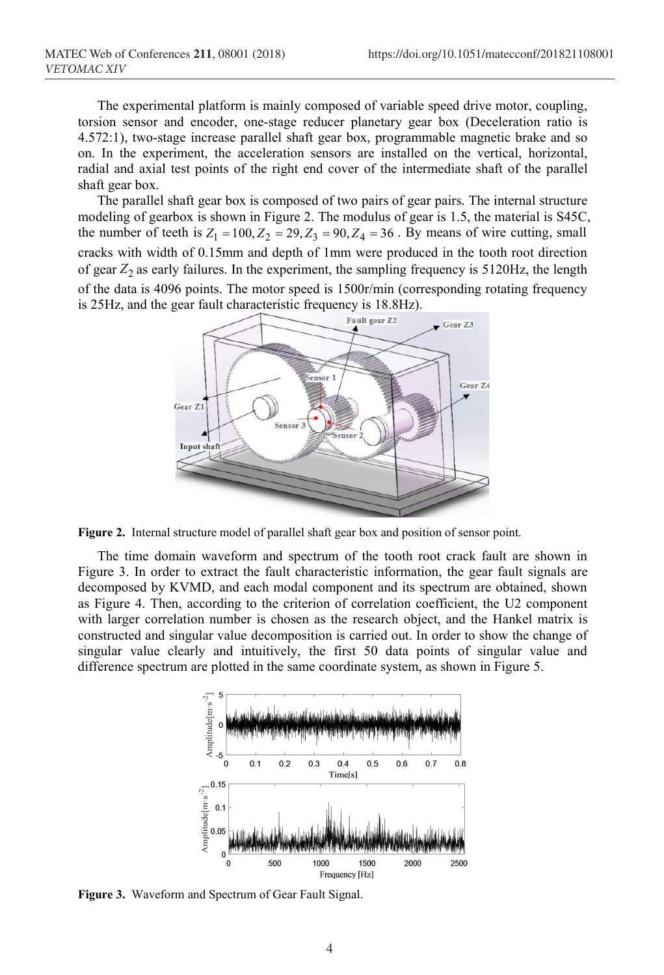The experimental platform is mainly composed of variable speed drive motor, coupling, torsion sensor and encoder, one-stage reducer planetary gear box (Deceleration ratio is 4.572:1), two-stage increase parallel shaft gear box, programmable magnetic brake and so on. In the experiment, the acceleration sensors are installed on the vertical, horizontal, radial and axial test points of the right end cover of the intermediate shaft of the parallel shaft gear box.

The parallel shaft gear box is composed of two pairs of gear pairs. The internal structure modeling of gearbox is shown in Figure 2. The modulus of gear is 1.5, the material is S45C, the number of teeth is  $Z_1 = 100$ ,  $Z_2 = 29$ ,  $Z_3 = 90$ ,  $Z_4 = 36$ . By means of wire cutting, small cracks with width of 0.15mm and depth of 1mm were produced in the tooth root direction of gear  $Z_2$  as early failures. In the experiment, the sampling frequency is  $5120\text{Hz}$ , the length of the data is 4096 points. The motor speed is 1500r/min (corresponding rotating frequency is 25Hz, and the gear fault characteristic frequency is  $18.8$ Hz).



**Figure 2.** Internal structure model of parallel shaft gear box and position of sensor point.

The time domain waveform and spectrum of the tooth root crack fault are shown in Figure 3. In order to extract the fault characteristic information, the gear fault signals are decomposed by KVMD, and each modal component and its spectrum are obtained, shown as Figure 4. Then, according to the criterion of correlation coefficient, the U2 component with larger correlation number is chosen as the research object, and the Hankel matrix is constructed and singular value decomposition is carried out. In order to show the change of singular value clearly and intuitively, the first 50 data points of singular value and difference spectrum are plotted in the same coordinate system, as shown in Figure 5.



**Figure 3.** Waveform and Spectrum of Gear Fault Signal.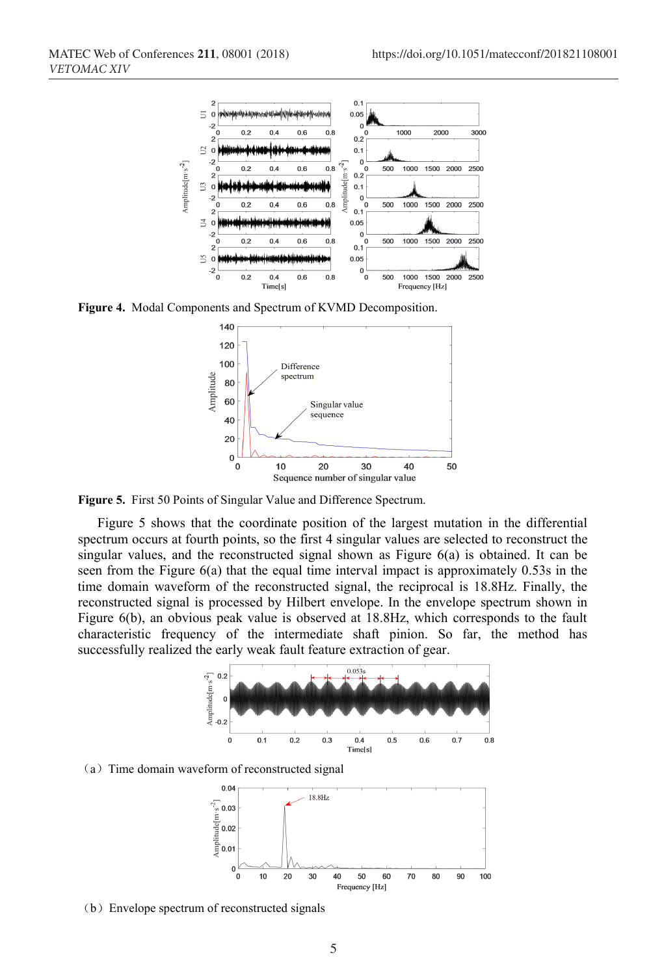

**Figure 4.** Modal Components and Spectrum of KVMD Decomposition.



**Figure 5.** First 50 Points of Singular Value and Difference Spectrum.

Figure 5 shows that the coordinate position of the largest mutation in the differential spectrum occurs at fourth points, so the first 4 singular values are selected to reconstruct the singular values, and the reconstructed signal shown as Figure 6(a) is obtained. It can be seen from the Figure 6(a) that the equal time interval impact is approximately 0.53s in the time domain waveform of the reconstructed signal, the reciprocal is 18.8Hz. Finally, the reconstructed signal is processed by Hilbert envelope. In the envelope spectrum shown in Figure 6(b), an obvious peak value is observed at 18.8Hz, which corresponds to the fault characteristic frequency of the intermediate shaft pinion. So far, the method has successfully realized the early weak fault feature extraction of gear.



(a)Time domain waveform of reconstructed signal



(b)Envelope spectrum of reconstructed signals